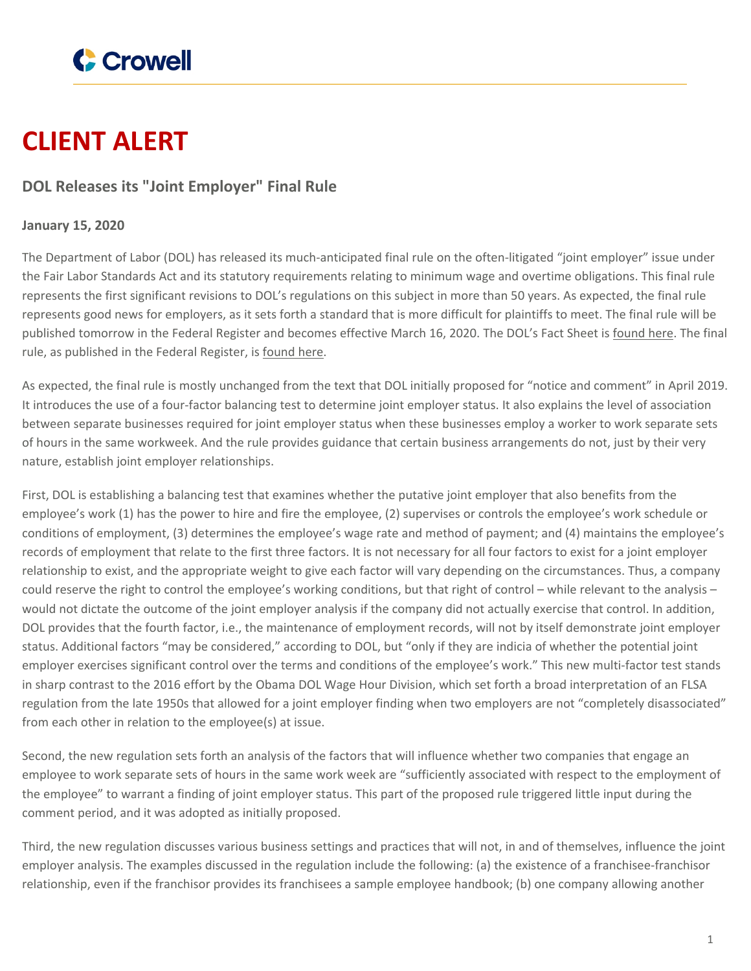

## **CLIENT ALERT**

## **DOL Releases its "Joint Employer" Final Rule**

## **January 15, 2020**

The Department of Labor (DOL) has released its much-anticipated final rule on the often-litigated "joint employer" issue under the Fair Labor Standards Act and its statutory requirements relating to minimum wage and overtime obligations. This final rule represents the first significant revisions to DOL's regulations on this subject in more than 50 years. As expected, the final rule represents good news for employers, as it sets forth a standard that is more difficult for plaintiffs to meet. The final rule will be published tomorrow in the Federal Register and becomes effective March 16, 2020. The DOL's Fact Sheet is [found](https://www.dol.gov/whd/flsa/jointemployment2019/joint-employment_factsheet.pdf) here. The final rule, as published in the Federal Register, is [found](https://s3.amazonaws.com/public-inspection.federalregister.gov/2019-28343.pdf) here.

As expected, the final rule is mostly unchanged from the text that DOL initially proposed for "notice and comment" in April 2019. It introduces the use of a four-factor balancing test to determine joint employer status. It also explains the level of association between separate businesses required for joint employer status when these businesses employ a worker to work separate sets of hours in the same workweek. And the rule provides guidance that certain business arrangements do not, just by their very nature, establish joint employer relationships.

First, DOL is establishing a balancing test that examines whether the putative joint employer that also benefits from the employee's work (1) has the power to hire and fire the employee, (2) supervises or controls the employee's work schedule or conditions of employment, (3) determines the employee's wage rate and method of payment; and (4) maintains the employee's records of employment that relate to the first three factors. It is not necessary for all four factors to exist for a joint employer relationship to exist, and the appropriate weight to give each factor will vary depending on the circumstances. Thus, a company could reserve the right to control the employee's working conditions, but that right of control – while relevant to the analysis – would not dictate the outcome of the joint employer analysis if the company did not actually exercise that control. In addition, DOL provides that the fourth factor, i.e., the maintenance of employment records, will not by itself demonstrate joint employer status. Additional factors "may be considered," according to DOL, but "only if they are indicia of whether the potential joint employer exercises significant control over the terms and conditions of the employee's work." This new multi-factor test stands in sharp contrast to the 2016 effort by the Obama DOL Wage Hour Division, which set forth a broad interpretation of an FLSA regulation from the late 1950s that allowed for a joint employer finding when two employers are not "completely disassociated" from each other in relation to the employee(s) at issue.

Second, the new regulation sets forth an analysis of the factors that will influence whether two companies that engage an employee to work separate sets of hours in the same work week are "sufficiently associated with respect to the employment of the employee" to warrant a finding of joint employer status. This part of the proposed rule triggered little input during the comment period, and it was adopted as initially proposed.

Third, the new regulation discusses various business settings and practices that will not, in and of themselves, influence the joint employer analysis. The examples discussed in the regulation include the following: (a) the existence of a franchisee-franchisor relationship, even if the franchisor provides its franchisees a sample employee handbook; (b) one company allowing another